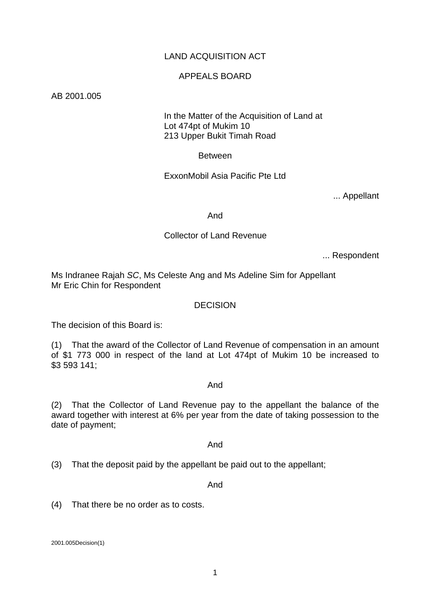# LAND ACQUISITION ACT

### APPEALS BOARD

AB 2001.005

# In the Matter of the Acquisition of Land at Lot 474pt of Mukim 10 213 Upper Bukit Timah Road

Between

ExxonMobil Asia Pacific Pte Ltd

... Appellant

And

# Collector of Land Revenue

... Respondent

Ms Indranee Rajah *SC*, Ms Celeste Ang and Ms Adeline Sim for Appellant Mr Eric Chin for Respondent

#### DECISION

The decision of this Board is:

(1) That the award of the Collector of Land Revenue of compensation in an amount of \$1 773 000 in respect of the land at Lot 474pt of Mukim 10 be increased to \$3 593 141;

#### And

(2) That the Collector of Land Revenue pay to the appellant the balance of the award together with interest at 6% per year from the date of taking possession to the date of payment;

And

(3) That the deposit paid by the appellant be paid out to the appellant;

And

(4) That there be no order as to costs.

2001.005Decision(1)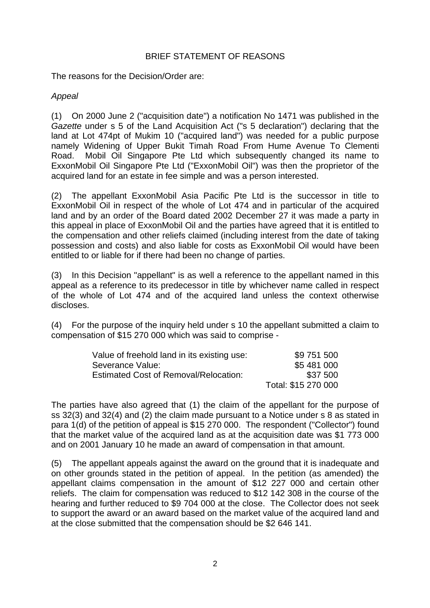# BRIEF STATEMENT OF REASONS

The reasons for the Decision/Order are:

# *Appeal*

(1) On 2000 June 2 ("acquisition date") a notification No 1471 was published in the *Gazette* under s 5 of the Land Acquisition Act ("s 5 declaration") declaring that the land at Lot 474pt of Mukim 10 ("acquired land") was needed for a public purpose namely Widening of Upper Bukit Timah Road From Hume Avenue To Clementi Road. Mobil Oil Singapore Pte Ltd which subsequently changed its name to ExxonMobil Oil Singapore Pte Ltd ("ExxonMobil Oil") was then the proprietor of the acquired land for an estate in fee simple and was a person interested.

(2) The appellant ExxonMobil Asia Pacific Pte Ltd is the successor in title to ExxonMobil Oil in respect of the whole of Lot 474 and in particular of the acquired land and by an order of the Board dated 2002 December 27 it was made a party in this appeal in place of ExxonMobil Oil and the parties have agreed that it is entitled to the compensation and other reliefs claimed (including interest from the date of taking possession and costs) and also liable for costs as ExxonMobil Oil would have been entitled to or liable for if there had been no change of parties.

(3) In this Decision "appellant" is as well a reference to the appellant named in this appeal as a reference to its predecessor in title by whichever name called in respect of the whole of Lot 474 and of the acquired land unless the context otherwise discloses.

(4) For the purpose of the inquiry held under s 10 the appellant submitted a claim to compensation of \$15 270 000 which was said to comprise -

| Value of freehold land in its existing use: | \$9 751 500         |
|---------------------------------------------|---------------------|
| Severance Value:                            | \$5 481 000         |
| Estimated Cost of Removal/Relocation:       | \$37 500            |
|                                             | Total: \$15 270 000 |

The parties have also agreed that (1) the claim of the appellant for the purpose of ss 32(3) and 32(4) and (2) the claim made pursuant to a Notice under s 8 as stated in para 1(d) of the petition of appeal is \$15 270 000. The respondent ("Collector") found that the market value of the acquired land as at the acquisition date was \$1 773 000 and on 2001 January 10 he made an award of compensation in that amount.

(5) The appellant appeals against the award on the ground that it is inadequate and on other grounds stated in the petition of appeal. In the petition (as amended) the appellant claims compensation in the amount of \$12 227 000 and certain other reliefs. The claim for compensation was reduced to \$12 142 308 in the course of the hearing and further reduced to \$9 704 000 at the close. The Collector does not seek to support the award or an award based on the market value of the acquired land and at the close submitted that the compensation should be \$2 646 141.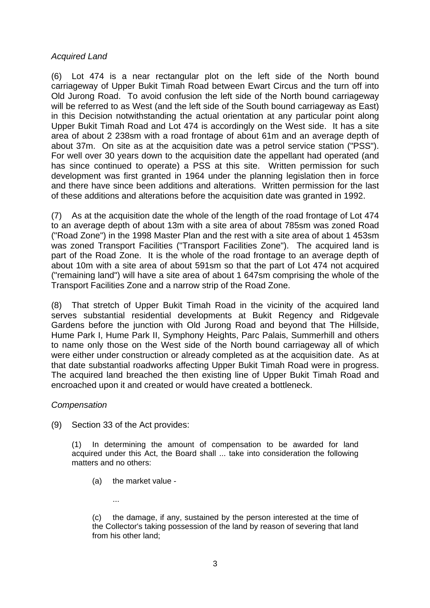### *Acquired Land*

(6) Lot 474 is a near rectangular plot on the left side of the North bound carriageway of Upper Bukit Timah Road between Ewart Circus and the turn off into Old Jurong Road. To avoid confusion the left side of the North bound carriageway will be referred to as West (and the left side of the South bound carriageway as East) in this Decision notwithstanding the actual orientation at any particular point along Upper Bukit Timah Road and Lot 474 is accordingly on the West side. It has a site area of about 2 238sm with a road frontage of about 61m and an average depth of about 37m. On site as at the acquisition date was a petrol service station ("PSS"). For well over 30 years down to the acquisition date the appellant had operated (and has since continued to operate) a PSS at this site. Written permission for such development was first granted in 1964 under the planning legislation then in force and there have since been additions and alterations. Written permission for the last of these additions and alterations before the acquisition date was granted in 1992.

(7) As at the acquisition date the whole of the length of the road frontage of Lot 474 to an average depth of about 13m with a site area of about 785sm was zoned Road ("Road Zone") in the 1998 Master Plan and the rest with a site area of about 1 453sm was zoned Transport Facilities ("Transport Facilities Zone"). The acquired land is part of the Road Zone. It is the whole of the road frontage to an average depth of about 10m with a site area of about 591sm so that the part of Lot 474 not acquired ("remaining land") will have a site area of about 1 647sm comprising the whole of the Transport Facilities Zone and a narrow strip of the Road Zone.

(8) That stretch of Upper Bukit Timah Road in the vicinity of the acquired land serves substantial residential developments at Bukit Regency and Ridgevale Gardens before the junction with Old Jurong Road and beyond that The Hillside, Hume Park I, Hume Park II, Symphony Heights, Parc Palais, Summerhill and others to name only those on the West side of the North bound carriageway all of which were either under construction or already completed as at the acquisition date. As at that date substantial roadworks affecting Upper Bukit Timah Road were in progress. The acquired land breached the then existing line of Upper Bukit Timah Road and encroached upon it and created or would have created a bottleneck.

# *Compensation*

(9) Section 33 of the Act provides:

...

(1) In determining the amount of compensation to be awarded for land acquired under this Act, the Board shall ... take into consideration the following matters and no others:

(a) the market value -

(c) the damage, if any, sustained by the person interested at the time of the Collector's taking possession of the land by reason of severing that land from his other land;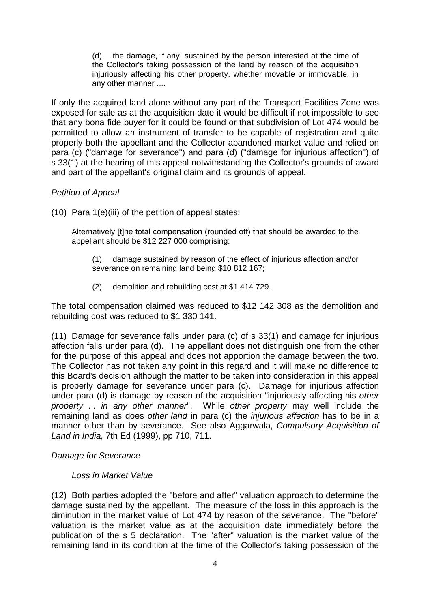(d) the damage, if any, sustained by the person interested at the time of the Collector's taking possession of the land by reason of the acquisition injuriously affecting his other property, whether movable or immovable, in any other manner ....

If only the acquired land alone without any part of the Transport Facilities Zone was exposed for sale as at the acquisition date it would be difficult if not impossible to see that any bona fide buyer for it could be found or that subdivision of Lot 474 would be permitted to allow an instrument of transfer to be capable of registration and quite properly both the appellant and the Collector abandoned market value and relied on para (c) ("damage for severance") and para (d) ("damage for injurious affection") of s 33(1) at the hearing of this appeal notwithstanding the Collector's grounds of award and part of the appellant's original claim and its grounds of appeal.

# *Petition of Appeal*

(10) Para 1(e)(iii) of the petition of appeal states:

Alternatively [t]he total compensation (rounded off) that should be awarded to the appellant should be \$12 227 000 comprising:

- (1) damage sustained by reason of the effect of injurious affection and/or severance on remaining land being \$10 812 167;
- (2) demolition and rebuilding cost at \$1 414 729.

The total compensation claimed was reduced to \$12 142 308 as the demolition and rebuilding cost was reduced to \$1 330 141.

(11) Damage for severance falls under para (c) of s 33(1) and damage for injurious affection falls under para (d). The appellant does not distinguish one from the other for the purpose of this appeal and does not apportion the damage between the two. The Collector has not taken any point in this regard and it will make no difference to this Board's decision although the matter to be taken into consideration in this appeal is properly damage for severance under para (c). Damage for injurious affection under para (d) is damage by reason of the acquisition "injuriously affecting his *other property* ... *in any other manner*". While *other property* may well include the remaining land as does *other land* in para (c) the *injurious affection* has to be in a manner other than by severance. See also Aggarwala, *Compulsory Acquisition of Land in India,* 7th Ed (1999), pp 710, 711.

# *Damage for Severance*

#### *Loss in Market Value*

(12) Both parties adopted the "before and after" valuation approach to determine the damage sustained by the appellant. The measure of the loss in this approach is the diminution in the market value of Lot 474 by reason of the severance. The "before" valuation is the market value as at the acquisition date immediately before the publication of the s 5 declaration. The "after" valuation is the market value of the remaining land in its condition at the time of the Collector's taking possession of the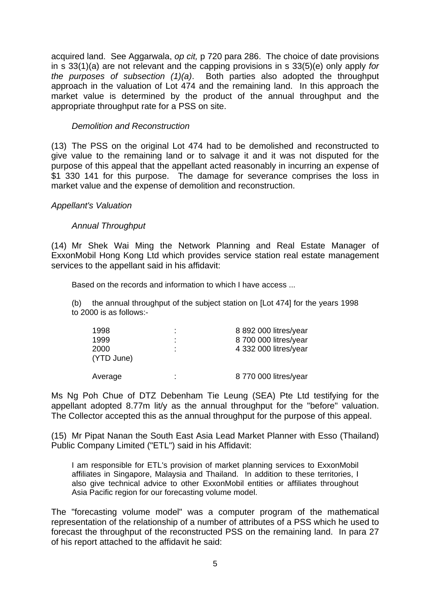acquired land. See Aggarwala, *op cit,* p 720 para 286. The choice of date provisions in s 33(1)(a) are not relevant and the capping provisions in s 33(5)(e) only apply *for the purposes of subsection (1)(a)*. Both parties also adopted the throughput approach in the valuation of Lot 474 and the remaining land. In this approach the market value is determined by the product of the annual throughput and the appropriate throughput rate for a PSS on site.

### *Demolition and Reconstruction*

(13) The PSS on the original Lot 474 had to be demolished and reconstructed to give value to the remaining land or to salvage it and it was not disputed for the purpose of this appeal that the appellant acted reasonably in incurring an expense of \$1 330 141 for this purpose. The damage for severance comprises the loss in market value and the expense of demolition and reconstruction.

#### *Appellant's Valuation*

# *Annual Throughput*

(14) Mr Shek Wai Ming the Network Planning and Real Estate Manager of ExxonMobil Hong Kong Ltd which provides service station real estate management services to the appellant said in his affidavit:

Based on the records and information to which I have access ...

(b) the annual throughput of the subject station on [Lot 474] for the years 1998 to 2000 is as follows:-

| 1998               |   | 8 892 000 litres/year |
|--------------------|---|-----------------------|
| 1999               |   | 8 700 000 litres/year |
| 2000<br>(YTD June) | ٠ | 4 332 000 litres/year |
| Average            | ٠ | 8 770 000 litres/year |

Ms Ng Poh Chue of DTZ Debenham Tie Leung (SEA) Pte Ltd testifying for the appellant adopted 8.77m lit/y as the annual throughput for the "before" valuation. The Collector accepted this as the annual throughput for the purpose of this appeal.

(15) Mr Pipat Nanan the South East Asia Lead Market Planner with Esso (Thailand) Public Company Limited ("ETL") said in his Affidavit:

I am responsible for ETL's provision of market planning services to ExxonMobil affiliates in Singapore, Malaysia and Thailand. In addition to these territories, I also give technical advice to other ExxonMobil entities or affiliates throughout Asia Pacific region for our forecasting volume model.

The "forecasting volume model" was a computer program of the mathematical representation of the relationship of a number of attributes of a PSS which he used to forecast the throughput of the reconstructed PSS on the remaining land. In para 27 of his report attached to the affidavit he said: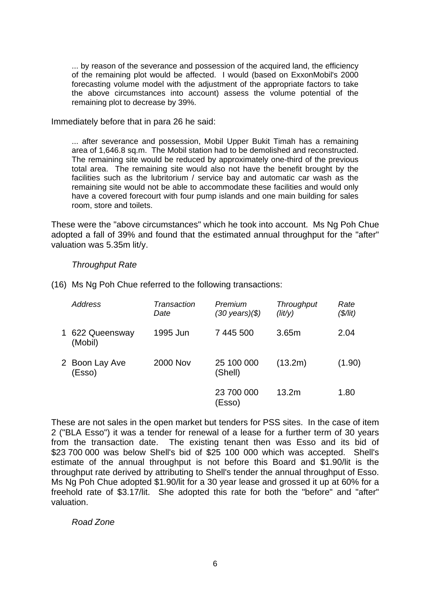... by reason of the severance and possession of the acquired land, the efficiency of the remaining plot would be affected. I would (based on ExxonMobil's 2000 forecasting volume model with the adjustment of the appropriate factors to take the above circumstances into account) assess the volume potential of the remaining plot to decrease by 39%.

Immediately before that in para 26 he said:

... after severance and possession, Mobil Upper Bukit Timah has a remaining area of 1,646.8 sq.m. The Mobil station had to be demolished and reconstructed. The remaining site would be reduced by approximately one-third of the previous total area. The remaining site would also not have the benefit brought by the facilities such as the lubritorium / service bay and automatic car wash as the remaining site would not be able to accommodate these facilities and would only have a covered forecourt with four pump islands and one main building for sales room, store and toilets.

These were the "above circumstances" which he took into account. Ms Ng Poh Chue adopted a fall of 39% and found that the estimated annual throughput for the "after" valuation was 5.35m lit/y.

#### *Throughput Rate*

| (16) Ms Ng Poh Chue referred to the following transactions: |
|-------------------------------------------------------------|
|-------------------------------------------------------------|

| Address                    | Transaction<br>Date | Premium<br>(30 years)(\$) | <b>Throughput</b><br>$(\text{lit/y})$ | Rate<br>$(\frac{5}{it})$ |
|----------------------------|---------------------|---------------------------|---------------------------------------|--------------------------|
| 1 622 Queensway<br>(Mobil) | 1995 Jun            | 7 445 500                 | 3.65m                                 | 2.04                     |
| 2 Boon Lay Ave<br>(Esso)   | <b>2000 Nov</b>     | 25 100 000<br>(Shell)     | (13.2m)                               | (1.90)                   |
|                            |                     | 23 700 000<br>(Esso)      | 13.2 <sub>m</sub>                     | 1.80                     |

These are not sales in the open market but tenders for PSS sites. In the case of item 2 ("BLA Esso") it was a tender for renewal of a lease for a further term of 30 years from the transaction date. The existing tenant then was Esso and its bid of \$23 700 000 was below Shell's bid of \$25 100 000 which was accepted. Shell's estimate of the annual throughput is not before this Board and \$1.90/lit is the throughput rate derived by attributing to Shell's tender the annual throughput of Esso. Ms Ng Poh Chue adopted \$1.90/lit for a 30 year lease and grossed it up at 60% for a freehold rate of \$3.17/lit. She adopted this rate for both the "before" and "after" valuation.

*Road Zone*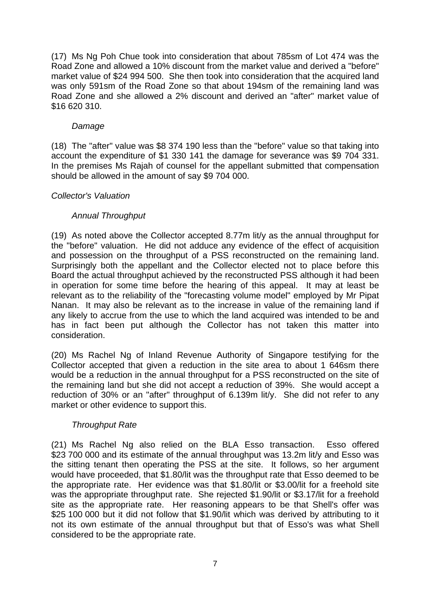(17) Ms Ng Poh Chue took into consideration that about 785sm of Lot 474 was the Road Zone and allowed a 10% discount from the market value and derived a "before" market value of \$24 994 500. She then took into consideration that the acquired land was only 591sm of the Road Zone so that about 194sm of the remaining land was Road Zone and she allowed a 2% discount and derived an "after" market value of \$16 620 310.

### *Damage*

(18) The "after" value was \$8 374 190 less than the "before" value so that taking into account the expenditure of \$1 330 141 the damage for severance was \$9 704 331. In the premises Ms Rajah of counsel for the appellant submitted that compensation should be allowed in the amount of say \$9 704 000.

#### *Collector's Valuation*

# *Annual Throughput*

(19) As noted above the Collector accepted 8.77m lit/y as the annual throughput for the "before" valuation. He did not adduce any evidence of the effect of acquisition and possession on the throughput of a PSS reconstructed on the remaining land. Surprisingly both the appellant and the Collector elected not to place before this Board the actual throughput achieved by the reconstructed PSS although it had been in operation for some time before the hearing of this appeal. It may at least be relevant as to the reliability of the "forecasting volume model" employed by Mr Pipat Nanan. It may also be relevant as to the increase in value of the remaining land if any likely to accrue from the use to which the land acquired was intended to be and has in fact been put although the Collector has not taken this matter into consideration.

(20) Ms Rachel Ng of Inland Revenue Authority of Singapore testifying for the Collector accepted that given a reduction in the site area to about 1 646sm there would be a reduction in the annual throughput for a PSS reconstructed on the site of the remaining land but she did not accept a reduction of 39%. She would accept a reduction of 30% or an "after" throughput of 6.139m lit/y. She did not refer to any market or other evidence to support this.

# *Throughput Rate*

(21) Ms Rachel Ng also relied on the BLA Esso transaction. Esso offered \$23 700 000 and its estimate of the annual throughput was 13.2m lit/y and Esso was the sitting tenant then operating the PSS at the site. It follows, so her argument would have proceeded, that \$1.80/lit was the throughput rate that Esso deemed to be the appropriate rate. Her evidence was that \$1.80/lit or \$3.00/lit for a freehold site was the appropriate throughput rate. She rejected \$1.90/lit or \$3.17/lit for a freehold site as the appropriate rate. Her reasoning appears to be that Shell's offer was \$25 100 000 but it did not follow that \$1.90/lit which was derived by attributing to it not its own estimate of the annual throughput but that of Esso's was what Shell considered to be the appropriate rate.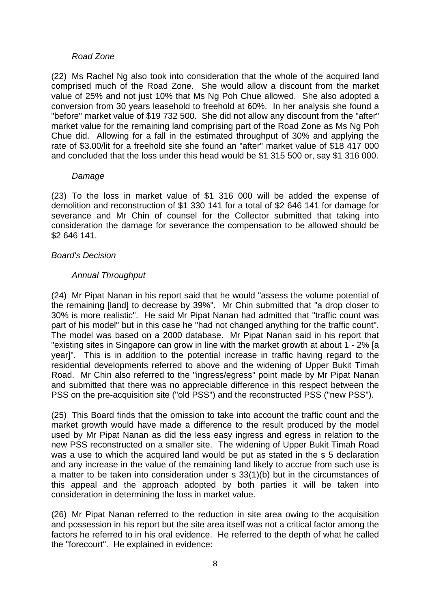#### *Road Zone*

(22) Ms Rachel Ng also took into consideration that the whole of the acquired land comprised much of the Road Zone. She would allow a discount from the market value of 25% and not just 10% that Ms Ng Poh Chue allowed. She also adopted a conversion from 30 years leasehold to freehold at 60%. In her analysis she found a "before" market value of \$19 732 500. She did not allow any discount from the "after" market value for the remaining land comprising part of the Road Zone as Ms Ng Poh Chue did. Allowing for a fall in the estimated throughput of 30% and applying the rate of \$3.00/lit for a freehold site she found an "after" market value of \$18 417 000 and concluded that the loss under this head would be \$1 315 500 or, say \$1 316 000.

#### *Damage*

(23) To the loss in market value of \$1 316 000 will be added the expense of demolition and reconstruction of \$1 330 141 for a total of \$2 646 141 for damage for severance and Mr Chin of counsel for the Collector submitted that taking into consideration the damage for severance the compensation to be allowed should be \$2 646 141.

# *Board's Decision*

# *Annual Throughput*

(24) Mr Pipat Nanan in his report said that he would "assess the volume potential of the remaining [land] to decrease by 39%". Mr Chin submitted that "a drop closer to 30% is more realistic". He said Mr Pipat Nanan had admitted that "traffic count was part of his model" but in this case he "had not changed anything for the traffic count". The model was based on a 2000 database. Mr Pipat Nanan said in his report that "existing sites in Singapore can grow in line with the market growth at about 1 - 2% [a year]". This is in addition to the potential increase in traffic having regard to the residential developments referred to above and the widening of Upper Bukit Timah Road. Mr Chin also referred to the "ingress/egress" point made by Mr Pipat Nanan and submitted that there was no appreciable difference in this respect between the PSS on the pre-acquisition site ("old PSS") and the reconstructed PSS ("new PSS").

(25) This Board finds that the omission to take into account the traffic count and the market growth would have made a difference to the result produced by the model used by Mr Pipat Nanan as did the less easy ingress and egress in relation to the new PSS reconstructed on a smaller site. The widening of Upper Bukit Timah Road was a use to which the acquired land would be put as stated in the s 5 declaration and any increase in the value of the remaining land likely to accrue from such use is a matter to be taken into consideration under s 33(1)(b) but in the circumstances of this appeal and the approach adopted by both parties it will be taken into consideration in determining the loss in market value.

(26) Mr Pipat Nanan referred to the reduction in site area owing to the acquisition and possession in his report but the site area itself was not a critical factor among the factors he referred to in his oral evidence. He referred to the depth of what he called the "forecourt". He explained in evidence: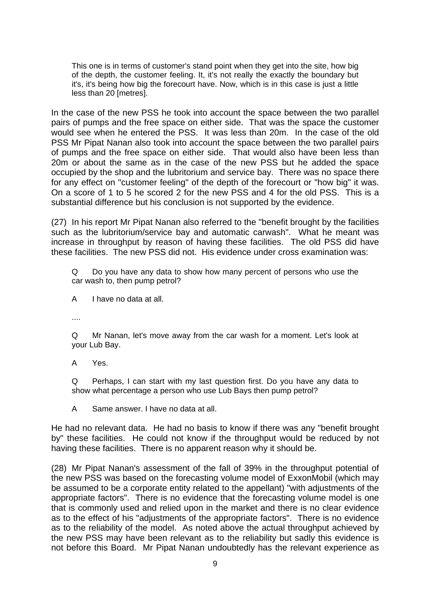This one is in terms of customer's stand point when they get into the site, how big of the depth, the customer feeling. It, it's not really the exactly the boundary but it's, it's being how big the forecourt have. Now, which is in this case is just a little less than 20 [metres].

In the case of the new PSS he took into account the space between the two parallel pairs of pumps and the free space on either side. That was the space the customer would see when he entered the PSS. It was less than 20m. In the case of the old PSS Mr Pipat Nanan also took into account the space between the two parallel pairs of pumps and the free space on either side. That would also have been less than 20m or about the same as in the case of the new PSS but he added the space occupied by the shop and the lubritorium and service bay. There was no space there for any effect on "customer feeling" of the depth of the forecourt or "how big" it was. On a score of 1 to 5 he scored 2 for the new PSS and 4 for the old PSS. This is a substantial difference but his conclusion is not supported by the evidence.

(27) In his report Mr Pipat Nanan also referred to the "benefit brought by the facilities such as the lubritorium/service bay and automatic carwash". What he meant was increase in throughput by reason of having these facilities. The old PSS did have these facilities. The new PSS did not. His evidence under cross examination was:

Q Do you have any data to show how many percent of persons who use the car wash to, then pump petrol?

A I have no data at all.

....

Q Mr Nanan, let's move away from the car wash for a moment. Let's look at your Lub Bay.

A Yes.

Q Perhaps, I can start with my last question first. Do you have any data to show what percentage a person who use Lub Bays then pump petrol?

A Same answer. I have no data at all.

He had no relevant data. He had no basis to know if there was any "benefit brought by" these facilities. He could not know if the throughput would be reduced by not having these facilities. There is no apparent reason why it should be.

(28) Mr Pipat Nanan's assessment of the fall of 39% in the throughput potential of the new PSS was based on the forecasting volume model of ExxonMobil (which may be assumed to be a corporate entity related to the appellant) "with adjustments of the appropriate factors". There is no evidence that the forecasting volume model is one that is commonly used and relied upon in the market and there is no clear evidence as to the effect of his "adjustments of the appropriate factors". There is no evidence as to the reliability of the model. As noted above the actual throughput achieved by the new PSS may have been relevant as to the reliability but sadly this evidence is not before this Board. Mr Pipat Nanan undoubtedly has the relevant experience as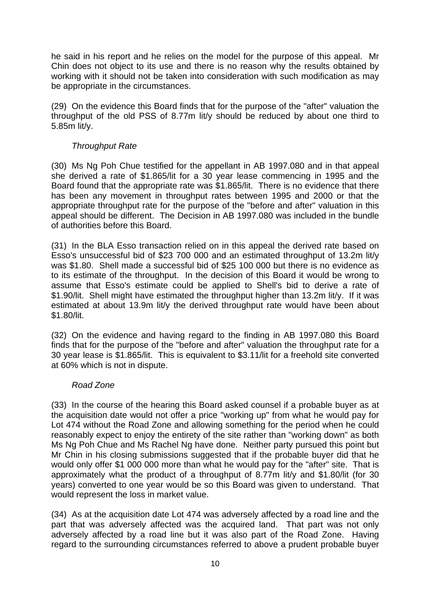he said in his report and he relies on the model for the purpose of this appeal. Mr Chin does not object to its use and there is no reason why the results obtained by working with it should not be taken into consideration with such modification as may be appropriate in the circumstances.

(29) On the evidence this Board finds that for the purpose of the "after" valuation the throughput of the old PSS of 8.77m lit/y should be reduced by about one third to 5.85m lit/y.

# *Throughput Rate*

(30) Ms Ng Poh Chue testified for the appellant in AB 1997.080 and in that appeal she derived a rate of \$1.865/lit for a 30 year lease commencing in 1995 and the Board found that the appropriate rate was \$1.865/lit. There is no evidence that there has been any movement in throughput rates between 1995 and 2000 or that the appropriate throughput rate for the purpose of the "before and after" valuation in this appeal should be different. The Decision in AB 1997.080 was included in the bundle of authorities before this Board.

(31) In the BLA Esso transaction relied on in this appeal the derived rate based on Esso's unsuccessful bid of \$23 700 000 and an estimated throughput of 13.2m lit/y was \$1.80. Shell made a successful bid of \$25 100 000 but there is no evidence as to its estimate of the throughput. In the decision of this Board it would be wrong to assume that Esso's estimate could be applied to Shell's bid to derive a rate of \$1.90/lit. Shell might have estimated the throughput higher than 13.2m lit/y. If it was estimated at about 13.9m lit/y the derived throughput rate would have been about \$1.80/lit.

(32) On the evidence and having regard to the finding in AB 1997.080 this Board finds that for the purpose of the "before and after" valuation the throughput rate for a 30 year lease is \$1.865/lit. This is equivalent to \$3.11/lit for a freehold site converted at 60% which is not in dispute.

# *Road Zone*

(33) In the course of the hearing this Board asked counsel if a probable buyer as at the acquisition date would not offer a price "working up" from what he would pay for Lot 474 without the Road Zone and allowing something for the period when he could reasonably expect to enjoy the entirety of the site rather than "working down" as both Ms Ng Poh Chue and Ms Rachel Ng have done. Neither party pursued this point but Mr Chin in his closing submissions suggested that if the probable buyer did that he would only offer \$1 000 000 more than what he would pay for the "after" site. That is approximately what the product of a throughput of 8.77m lit/y and \$1.80/lit (for 30 years) converted to one year would be so this Board was given to understand. That would represent the loss in market value.

(34) As at the acquisition date Lot 474 was adversely affected by a road line and the part that was adversely affected was the acquired land. That part was not only adversely affected by a road line but it was also part of the Road Zone. Having regard to the surrounding circumstances referred to above a prudent probable buyer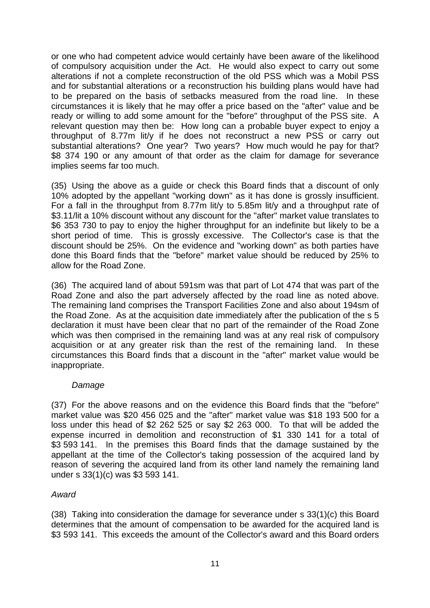or one who had competent advice would certainly have been aware of the likelihood of compulsory acquisition under the Act. He would also expect to carry out some alterations if not a complete reconstruction of the old PSS which was a Mobil PSS and for substantial alterations or a reconstruction his building plans would have had to be prepared on the basis of setbacks measured from the road line. In these circumstances it is likely that he may offer a price based on the "after" value and be ready or willing to add some amount for the "before" throughput of the PSS site. A relevant question may then be: How long can a probable buyer expect to enjoy a throughput of 8.77m lit/y if he does not reconstruct a new PSS or carry out substantial alterations? One year? Two years? How much would he pay for that? \$8 374 190 or any amount of that order as the claim for damage for severance implies seems far too much.

(35) Using the above as a guide or check this Board finds that a discount of only 10% adopted by the appellant "working down" as it has done is grossly insufficient. For a fall in the throughput from 8.77m lit/y to 5.85m lit/y and a throughput rate of \$3.11/lit a 10% discount without any discount for the "after" market value translates to \$6 353 730 to pay to enjoy the higher throughput for an indefinite but likely to be a short period of time. This is grossly excessive. The Collector's case is that the discount should be 25%. On the evidence and "working down" as both parties have done this Board finds that the "before" market value should be reduced by 25% to allow for the Road Zone.

(36) The acquired land of about 591sm was that part of Lot 474 that was part of the Road Zone and also the part adversely affected by the road line as noted above. The remaining land comprises the Transport Facilities Zone and also about 194sm of the Road Zone. As at the acquisition date immediately after the publication of the s 5 declaration it must have been clear that no part of the remainder of the Road Zone which was then comprised in the remaining land was at any real risk of compulsory acquisition or at any greater risk than the rest of the remaining land. In these circumstances this Board finds that a discount in the "after" market value would be inappropriate.

# *Damage*

(37) For the above reasons and on the evidence this Board finds that the "before" market value was \$20 456 025 and the "after" market value was \$18 193 500 for a loss under this head of \$2 262 525 or say \$2 263 000. To that will be added the expense incurred in demolition and reconstruction of \$1 330 141 for a total of \$3 593 141. In the premises this Board finds that the damage sustained by the appellant at the time of the Collector's taking possession of the acquired land by reason of severing the acquired land from its other land namely the remaining land under s 33(1)(c) was \$3 593 141.

# *Award*

(38) Taking into consideration the damage for severance under s 33(1)(c) this Board determines that the amount of compensation to be awarded for the acquired land is \$3 593 141. This exceeds the amount of the Collector's award and this Board orders